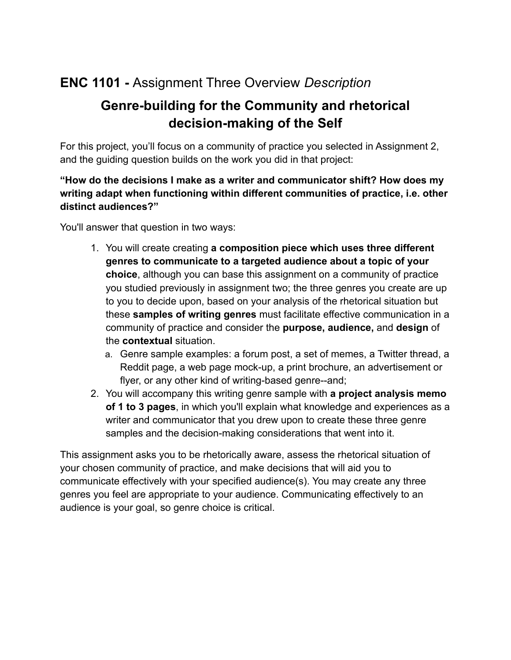# **ENC 1101 -** Assignment Three Overview *Description*

# **Genre-building for the Community and rhetorical decision-making of the Self**

For this project, you'll focus on a community of practice you selected in Assignment 2, and the guiding question builds on the work you did in that project:

### **"How do the decisions I make as a writer and communicator shift? How does my writing adapt when functioning within different communities of practice, i.e. other distinct audiences?"**

You'll answer that question in two ways:

- 1. You will create creating **a composition piece which uses three different genres to communicate to a targeted audience about a topic of your choice**, although you can base this assignment on a community of practice you studied previously in assignment two; the three genres you create are up to you to decide upon, based on your analysis of the rhetorical situation but these **samples of writing genres** must facilitate effective communication in a community of practice and consider the **purpose, audience,** and **design** of the **contextual** situation.
	- a. Genre sample examples: a forum post, a set of memes, a Twitter thread, a Reddit page, a web page mock-up, a print brochure, an advertisement or flyer, or any other kind of writing-based genre--and;
- 2. You will accompany this writing genre sample with **a project analysis memo of 1 to 3 pages**, in which you'll explain what knowledge and experiences as a writer and communicator that you drew upon to create these three genre samples and the decision-making considerations that went into it.

This assignment asks you to be rhetorically aware, assess the rhetorical situation of your chosen community of practice, and make decisions that will aid you to communicate effectively with your specified audience(s). You may create any three genres you feel are appropriate to your audience. Communicating effectively to an audience is your goal, so genre choice is critical.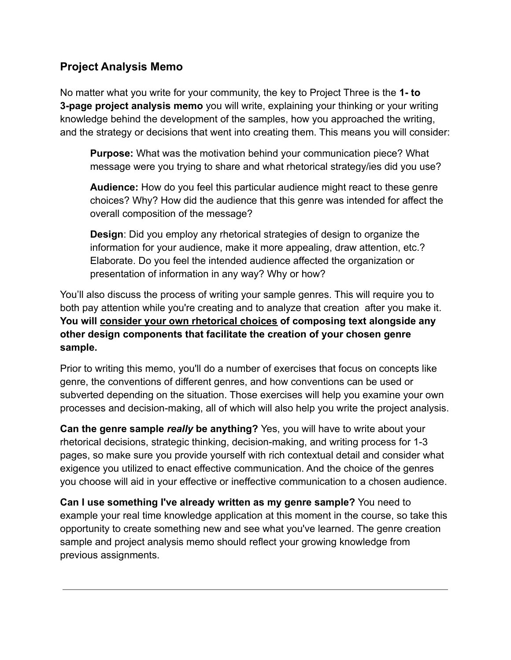### **Project Analysis Memo**

No matter what you write for your community, the key to Project Three is the **1- to 3-page project analysis memo** you will write, explaining your thinking or your writing knowledge behind the development of the samples, how you approached the writing, and the strategy or decisions that went into creating them. This means you will consider:

**Purpose:** What was the motivation behind your communication piece? What message were you trying to share and what rhetorical strategy/ies did you use?

**Audience:** How do you feel this particular audience might react to these genre choices? Why? How did the audience that this genre was intended for affect the overall composition of the message?

**Design**: Did you employ any rhetorical strategies of design to organize the information for your audience, make it more appealing, draw attention, etc.? Elaborate. Do you feel the intended audience affected the organization or presentation of information in any way? Why or how?

You'll also discuss the process of writing your sample genres. This will require you to both pay attention while you're creating and to analyze that creation after you make it. **You will consider your own rhetorical choices of composing text alongside any other design components that facilitate the creation of your chosen genre sample.**

Prior to writing this memo, you'll do a number of exercises that focus on concepts like genre, the conventions of different genres, and how conventions can be used or subverted depending on the situation. Those exercises will help you examine your own processes and decision-making, all of which will also help you write the project analysis.

**Can the genre sample** *really* **be anything?** Yes, you will have to write about your rhetorical decisions, strategic thinking, decision-making, and writing process for 1-3 pages, so make sure you provide yourself with rich contextual detail and consider what exigence you utilized to enact effective communication. And the choice of the genres you choose will aid in your effective or ineffective communication to a chosen audience.

**Can I use something I've already written as my genre sample?** You need to example your real time knowledge application at this moment in the course, so take this opportunity to create something new and see what you've learned. The genre creation sample and project analysis memo should reflect your growing knowledge from previous assignments.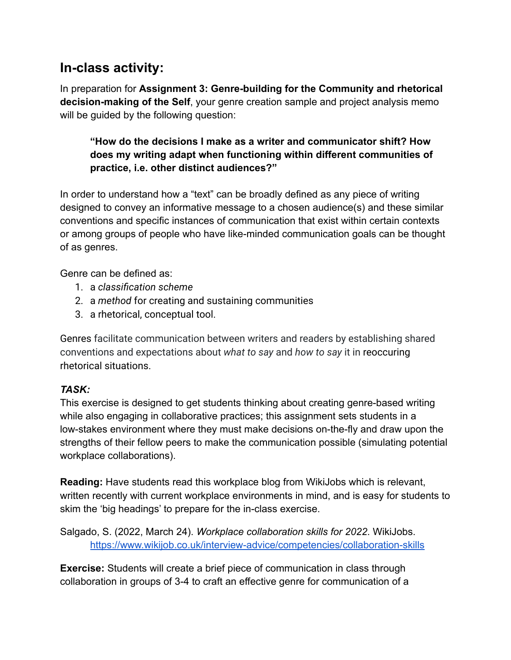## **In-class activity:**

In preparation for **Assignment 3: Genre-building for the Community and rhetorical decision-making of the Self**, your genre creation sample and project analysis memo will be guided by the following question:

### **"How do the decisions I make as a writer and communicator shift? How does my writing adapt when functioning within different communities of practice, i.e. other distinct audiences?"**

In order to understand how a "text" can be broadly defined as any piece of writing designed to convey an informative message to a chosen audience(s) and these similar conventions and specific instances of communication that exist within certain contexts or among groups of people who have like-minded communication goals can be thought of as genres.

Genre can be defined as:

- 1. a *classification scheme*
- 2. a *method* for creating and sustaining communities
- 3. a rhetorical, conceptual tool.

Genres facilitate communication between writers and readers by establishing shared conventions and expectations about *what to say* and *how to say* it in [reoccuring](https://writingcommons.org/section/rhetoric-definition/rhetorical-situation/) [rhetorical situations.](https://writingcommons.org/section/rhetoric-definition/rhetorical-situation/)

### *TASK:*

This exercise is designed to get students thinking about creating genre-based writing while also engaging in collaborative practices; this assignment sets students in a low-stakes environment where they must make decisions on-the-fly and draw upon the strengths of their fellow peers to make the communication possible (simulating potential workplace collaborations).

**Reading:** Have students read this workplace blog from WikiJobs which is relevant, written recently with current workplace environments in mind, and is easy for students to skim the 'big headings' to prepare for the in-class exercise.

Salgado, S. (2022, March 24). *Workplace collaboration skills for 2022*. WikiJobs. <https://www.wikijob.co.uk/interview-advice/competencies/collaboration-skills>

**Exercise:** Students will create a brief piece of communication in class through collaboration in groups of 3-4 to craft an effective genre for communication of a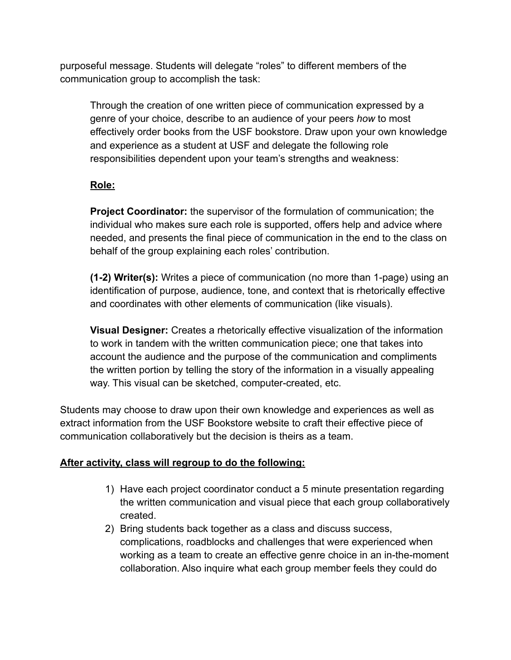purposeful message. Students will delegate "roles" to different members of the communication group to accomplish the task:

Through the creation of one written piece of communication expressed by a genre of your choice, describe to an audience of your peers *how* to most effectively order books from the USF bookstore. Draw upon your own knowledge and experience as a student at USF and delegate the following role responsibilities dependent upon your team's strengths and weakness:

### **Role:**

**Project Coordinator:** the supervisor of the formulation of communication; the individual who makes sure each role is supported, offers help and advice where needed, and presents the final piece of communication in the end to the class on behalf of the group explaining each roles' contribution.

**(1-2) Writer(s):** Writes a piece of communication (no more than 1-page) using an identification of purpose, audience, tone, and context that is rhetorically effective and coordinates with other elements of communication (like visuals).

**Visual Designer:** Creates a rhetorically effective visualization of the information to work in tandem with the written communication piece; one that takes into account the audience and the purpose of the communication and compliments the written portion by telling the story of the information in a visually appealing way. This visual can be sketched, computer-created, etc.

Students may choose to draw upon their own knowledge and experiences as well as extract information from the USF Bookstore website to craft their effective piece of communication collaboratively but the decision is theirs as a team.

#### **After activity, class will regroup to do the following:**

- 1) Have each project coordinator conduct a 5 minute presentation regarding the written communication and visual piece that each group collaboratively created.
- 2) Bring students back together as a class and discuss success, complications, roadblocks and challenges that were experienced when working as a team to create an effective genre choice in an in-the-moment collaboration. Also inquire what each group member feels they could do